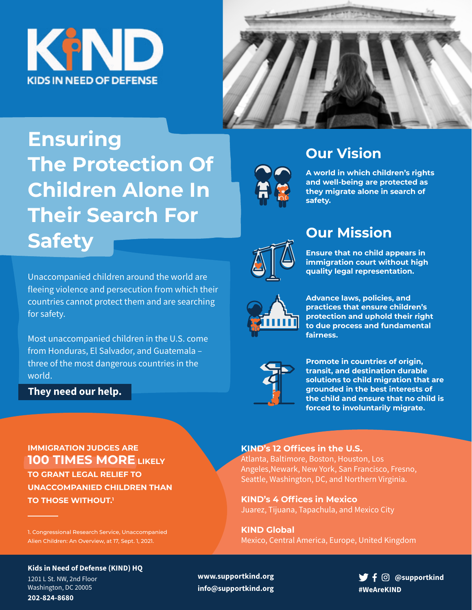



# **Ensuring The Protection Of Children Alone In Their Search For Safety**

Unaccompanied children around the world are fleeing violence and persecution from which their countries cannot protect them and are searching for safety.

Most unaccompanied children in the U.S. come from Honduras, El Salvador, and Guatemala – three of the most dangerous countries in the world.

### **They need our help.**



## **Our Vision**

**A world in which children's rights and well-being are protected as they migrate alone in search of safety.**



# **Our Mission**

**Ensure that no child appears in immigration court without high quality legal representation.**



**Advance laws, policies, and practices that ensure children's protection and uphold their right to due process and fundamental fairness.**



**Promote in countries of origin, transit, and destination durable solutions to child migration that are grounded in the best interests of the child and ensure that no child is forced to involuntarily migrate.** 

### **IMMIGRATION JUDGES ARE 100 TIMES MORE** LIKELY **TO GRANT LEGAL RELIEF TO UNACCOMPANIED CHILDREN THAN TO THOSE WITHOUT.<sup>1</sup>**

1. Congressional Research Service, Unaccompanied Alien Children: An Overview, at 17, Sept. 1, 2021.

### **Kids in Need of Defense (KIND) HQ**

1201 L St. NW, 2nd Floor Washington, DC 20005 **202-824-8680**

#### **KIND's 12 Offices in the U.S.** Atlanta, Baltimore, Boston, Houston, Los

Angeles,Newark, New York, San Francisco, Fresno, Seattle, Washington, DC, and Northern Virginia.

**KIND's 4 Offices in Mexico** Juarez, Tijuana, Tapachula, and Mexico City

**KIND Global** Mexico, Central America, Europe, United Kingdom

**www.supportkind.org info@supportkind.org**